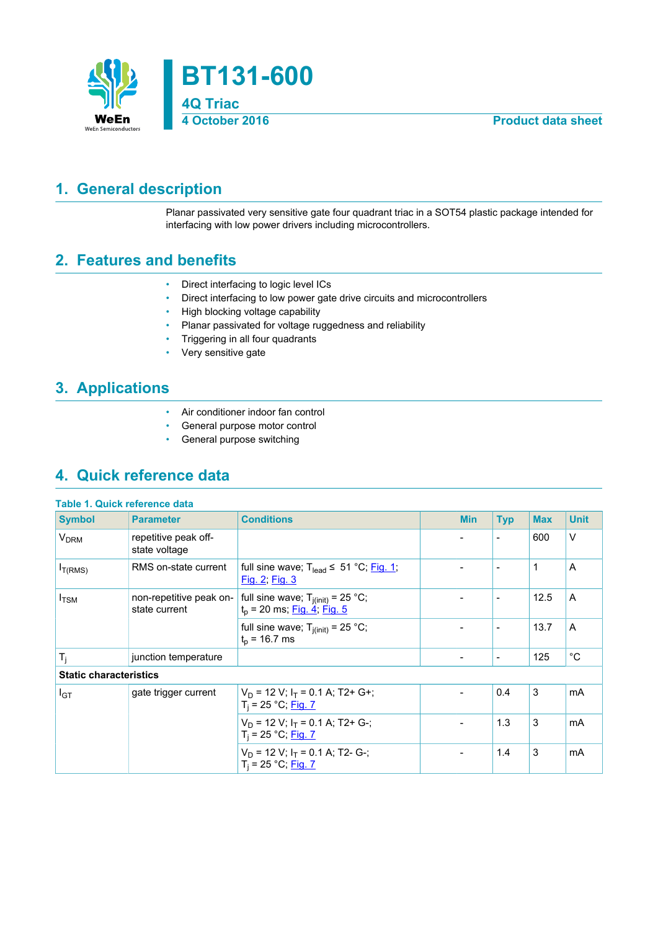

## <span id="page-0-0"></span>**1. General description**

Planar passivated very sensitive gate four quadrant triac in a SOT54 plastic package intended for interfacing with low power drivers including microcontrollers.

## <span id="page-0-1"></span>**2. Features and benefits**

- Direct interfacing to logic level ICs
- Direct interfacing to low power gate drive circuits and microcontrollers
- High blocking voltage capability
- Planar passivated for voltage ruggedness and reliability
- Triggering in all four quadrants
- Very sensitive gate

## <span id="page-0-2"></span>**3. Applications**

- Air conditioner indoor fan control
- General purpose motor control
- General purpose switching

## <span id="page-0-3"></span>**4. Quick reference data**

| <b>Table 1. Quick reference data</b> |                                          |                                                                                 |                          |                          |            |              |
|--------------------------------------|------------------------------------------|---------------------------------------------------------------------------------|--------------------------|--------------------------|------------|--------------|
| <b>Symbol</b>                        | <b>Parameter</b>                         | <b>Conditions</b>                                                               | <b>Min</b>               | <b>Typ</b>               | <b>Max</b> | <b>Unit</b>  |
| <b>V<sub>DRM</sub></b>               | repetitive peak off-<br>state voltage    |                                                                                 |                          | $\blacksquare$           | 600        | $\vee$       |
| $I_{T(RMS)}$                         | RMS on-state current                     | full sine wave; $T_{lead} \leq 51 \degree C$ ; Fig. 1;<br><u>Fig. 2; Fig. 3</u> |                          | $\overline{\phantom{a}}$ | 1          | A            |
| $I_{\text{TSM}}$                     | non-repetitive peak on-<br>state current | full sine wave; $T_{j(int)} = 25 °C$ ;<br>$t_p$ = 20 ms; $Fig. 4$ ; Fig. 5      |                          | $\overline{\phantom{a}}$ | 12.5       | A            |
|                                      |                                          | full sine wave; $T_{j(int)} = 25 °C$ ;<br>$t_{p}$ = 16.7 ms                     |                          | $\overline{\phantom{a}}$ | 13.7       | A            |
| $\mathsf{T}_{\mathsf{i}}$            | junction temperature                     |                                                                                 | $\overline{\phantom{a}}$ | $\overline{\phantom{a}}$ | 125        | $^{\circ}$ C |
| <b>Static characteristics</b>        |                                          |                                                                                 |                          |                          |            |              |
| $I_{GT}$                             | gate trigger current                     | $V_D$ = 12 V; $I_T$ = 0.1 A; T2+ G+;<br>$T_i = 25 °C;$ Fig. 7                   |                          | 0.4                      | 3          | mA           |
|                                      |                                          | $V_D$ = 12 V; $I_T$ = 0.1 A; T2+ G-;<br>$T_i = 25 °C;$ Fig. 7                   |                          | 1.3                      | 3          | mA           |
|                                      |                                          | $V_D$ = 12 V; $I_T$ = 0.1 A; T2- G-;<br>$T_i = 25 °C;$ Fig. 7                   | $\overline{\phantom{a}}$ | 1.4                      | 3          | mA           |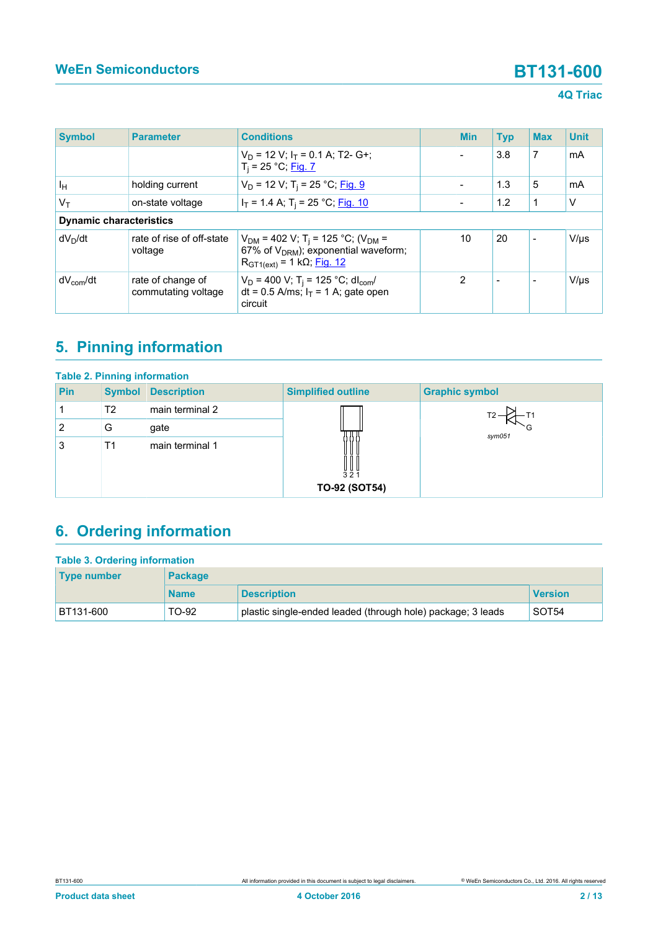### **4Q Triac**

| <b>Symbol</b>                  | <b>Parameter</b>                         | <b>Conditions</b>                                                                                                                                  | <b>Min</b>               | <b>Typ</b>               | <b>Max</b>               | <b>Unit</b> |
|--------------------------------|------------------------------------------|----------------------------------------------------------------------------------------------------------------------------------------------------|--------------------------|--------------------------|--------------------------|-------------|
|                                |                                          | $V_D$ = 12 V; $I_T$ = 0.1 A; T2- G+;<br>$T_i = 25 °C;$ Fig. 7                                                                                      | $\overline{\phantom{a}}$ | 3.8                      | 7                        | mA          |
| Iн                             | holding current                          | $V_D$ = 12 V; T <sub>i</sub> = 25 °C; Fig. 9                                                                                                       |                          | 1.3                      | 5                        | mA          |
| $V_{\mathsf{T}}$               | on-state voltage                         | $I_T$ = 1.4 A; T <sub>i</sub> = 25 °C; Fig. 10                                                                                                     | $\overline{\phantom{a}}$ | 1.2                      | 1                        | V           |
| <b>Dynamic characteristics</b> |                                          |                                                                                                                                                    |                          |                          |                          |             |
| $dV_D/dt$                      | rate of rise of off-state<br>voltage     | $V_{DM}$ = 402 V; T <sub>i</sub> = 125 °C; (V <sub>DM</sub> =<br>67% of $V_{DRM}$ ); exponential waveform;<br>$R_{GT1(ext)} = 1 k\Omega$ ; Fig. 12 | 10                       | 20                       |                          | $V/\mu s$   |
| $dV_{com}/dt$                  | rate of change of<br>commutating voltage | $V_D$ = 400 V; T <sub>i</sub> = 125 °C; dl <sub>com</sub> /<br>dt = 0.5 A/ms; $I_T$ = 1 A; gate open<br>circuit                                    | $\overline{2}$           | $\overline{\phantom{a}}$ | $\overline{\phantom{a}}$ | $V/\mu s$   |

# <span id="page-1-0"></span>**5. Pinning information**

|     | <b>Table 2. Pinning information</b> |                    |                             |                       |  |  |  |  |
|-----|-------------------------------------|--------------------|-----------------------------|-----------------------|--|--|--|--|
| Pin | <b>Symbol</b>                       | <b>Description</b> | <b>Simplified outline</b>   | <b>Graphic symbol</b> |  |  |  |  |
|     | T <sub>2</sub>                      | main terminal 2    |                             |                       |  |  |  |  |
| 2   | G                                   | gate               |                             | sym051                |  |  |  |  |
| 3   | T <sub>1</sub>                      | main terminal 1    | UUU<br>321<br>TO-92 (SOT54) |                       |  |  |  |  |

# <span id="page-1-1"></span>**6. Ordering information**

| <b>Table 3. Ordering information</b> |                |                                                             |                   |  |  |  |
|--------------------------------------|----------------|-------------------------------------------------------------|-------------------|--|--|--|
| <b>Type number</b>                   | <b>Package</b> |                                                             |                   |  |  |  |
|                                      | <b>Name</b>    | <b>Description</b>                                          | <b>Version</b>    |  |  |  |
| BT131-600                            | TO-92          | plastic single-ended leaded (through hole) package; 3 leads | SOT <sub>54</sub> |  |  |  |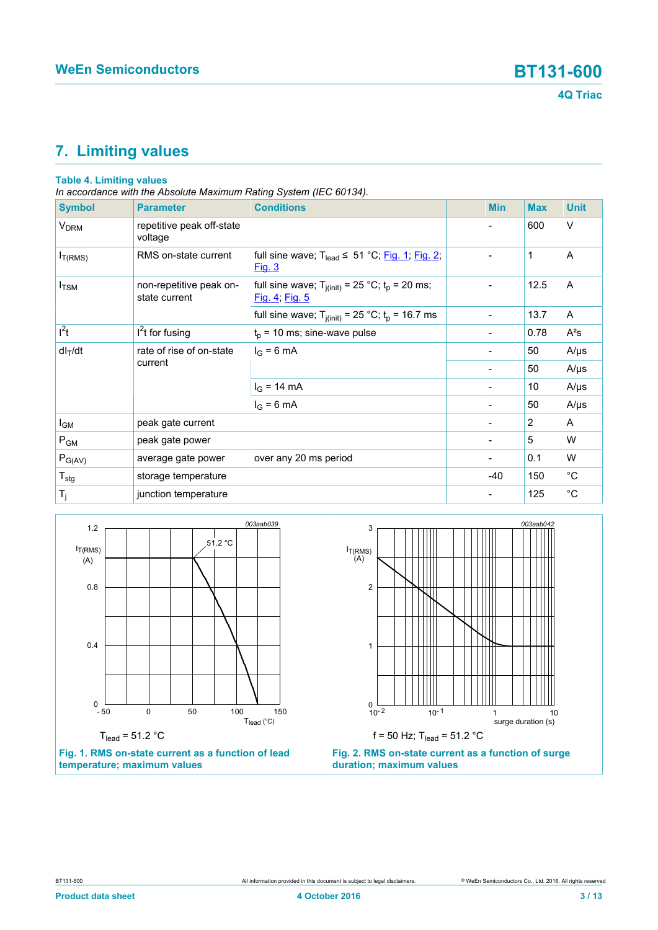# <span id="page-2-2"></span>**7. Limiting values**

### **Table 4. Limiting values**

*In accordance with the Absolute Maximum Rating System (IEC 60134).*

| <b>Symbol</b>          | <b>Parameter</b>                         | <b>Conditions</b>                                                        | <b>Min</b>                   | <b>Max</b>     | <b>Unit</b> |
|------------------------|------------------------------------------|--------------------------------------------------------------------------|------------------------------|----------------|-------------|
| <b>V<sub>DRM</sub></b> | repetitive peak off-state<br>voltage     |                                                                          |                              | 600            | $\vee$      |
| $I_{T(RMS)}$           | RMS on-state current                     | full sine wave; $T_{lead} \le 51 °C$ ; Fig. 1; Fig. 2;<br>Fig. 3         |                              | 1              | A           |
| $I_{\text{TSM}}$       | non-repetitive peak on-<br>state current | full sine wave; $T_{i(init)} = 25 °C$ ; $t_p = 20$ ms;<br>Fig. 4; Fig. 5 |                              | 12.5           | A           |
|                        |                                          | full sine wave; $T_{j(int)} = 25$ °C; $t_p = 16.7$ ms                    | $\blacksquare$               | 13.7           | A           |
| $\overline{I^2t}$      | $I2t$ for fusing                         | $t_p$ = 10 ms; sine-wave pulse                                           |                              | 0.78           | $A^2s$      |
| $dl_T/dt$              | rate of rise of on-state<br>current      | $I_G = 6 \text{ mA}$                                                     |                              | 50             | $A/\mu s$   |
|                        |                                          |                                                                          |                              | 50             | $A/\mu s$   |
|                        |                                          | $I_G = 14 \text{ mA}$                                                    |                              | 10             | $A/\mu s$   |
|                        |                                          | $I_G = 6$ mA                                                             | $\overline{\phantom{a}}$     | 50             | $A/\mu s$   |
| I <sub>GM</sub>        | peak gate current                        |                                                                          |                              | $\overline{2}$ | A           |
| $P_{GM}$               | peak gate power                          |                                                                          |                              | 5              | W           |
| $P_{G(AV)}$            | average gate power                       | over any 20 ms period                                                    | $\qquad \qquad \blacksquare$ | 0.1            | W           |
| $T_{\text{stg}}$       | storage temperature                      |                                                                          | $-40$                        | 150            | $^{\circ}C$ |
| $T_j$                  | junction temperature                     |                                                                          |                              | 125            | $^{\circ}C$ |

<span id="page-2-0"></span>



<span id="page-2-1"></span>

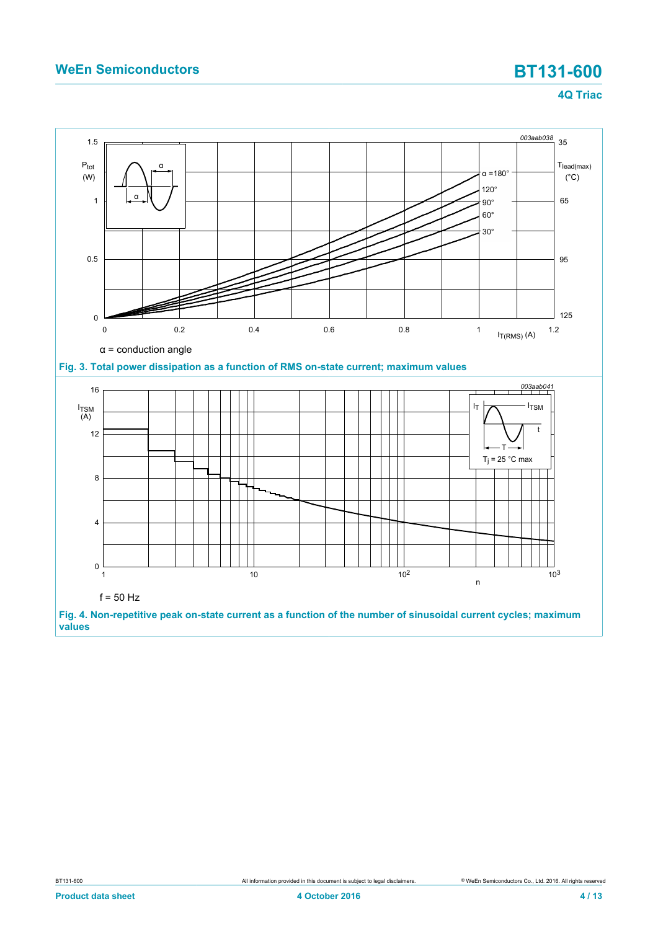### **4Q Triac**

<span id="page-3-0"></span>

<span id="page-3-1"></span>**Fig. 4. Non-repetitive peak on-state current as a function of the number of sinusoidal current cycles; maximum values**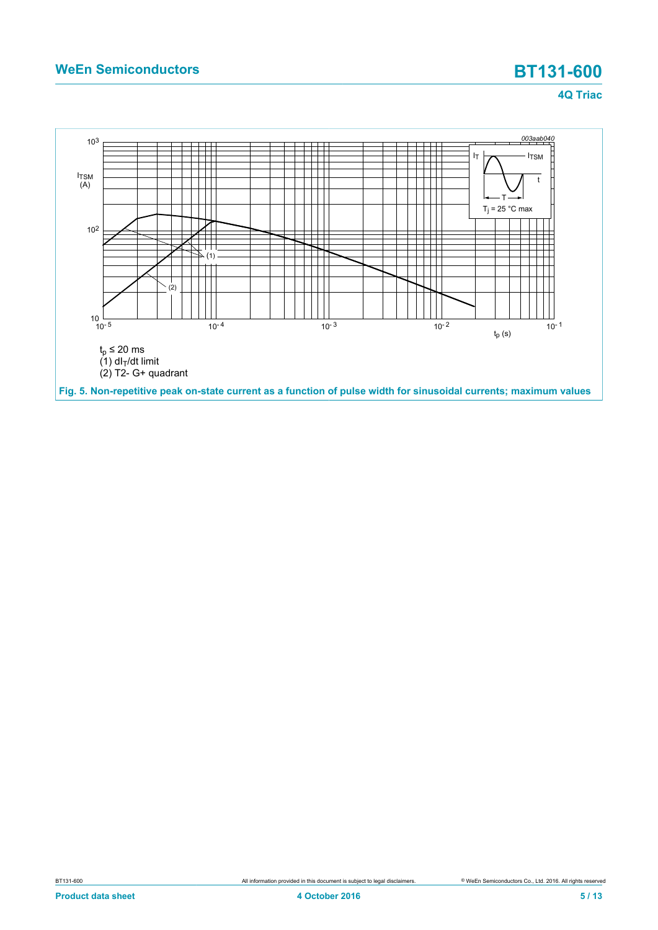### **4Q Triac**

<span id="page-4-0"></span>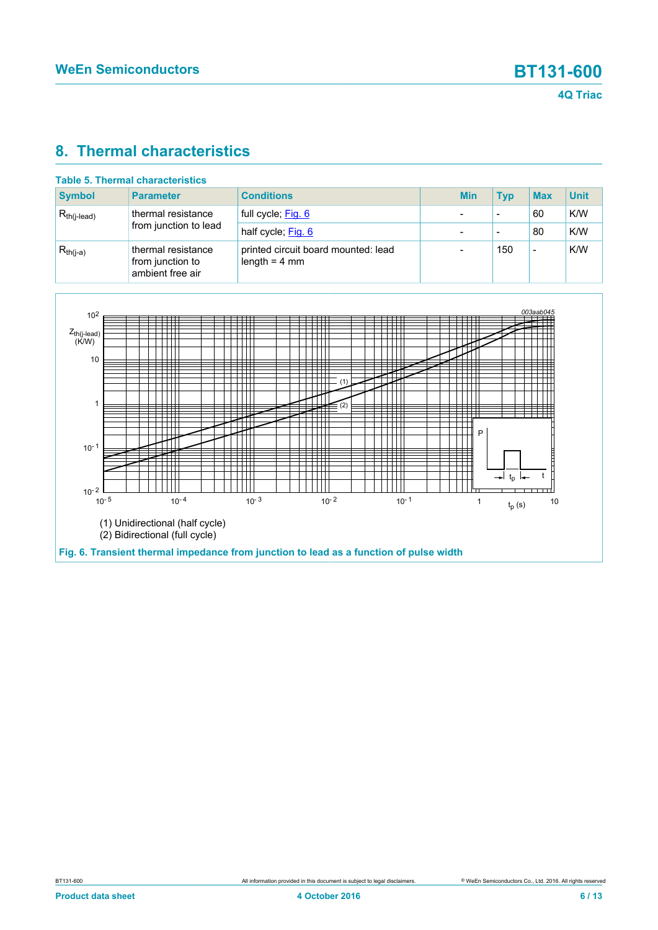## <span id="page-5-1"></span>**8. Thermal characteristics**

|                  | Table 5. Thermal characteristics                           |                                                        |            |                          |                          |             |
|------------------|------------------------------------------------------------|--------------------------------------------------------|------------|--------------------------|--------------------------|-------------|
| <b>Symbol</b>    | <b>Parameter</b>                                           | <b>Conditions</b>                                      | <b>Min</b> | Typ                      | <b>Max</b>               | <b>Unit</b> |
| $R_{th(i-lead)}$ | thermal resistance<br>from junction to lead                | full cycle; Fig. 6                                     |            | $\overline{\phantom{0}}$ | 60                       | K/W         |
|                  |                                                            | half cycle; Fig. 6                                     |            | $\overline{\phantom{0}}$ | 80                       | K/W         |
| $R_{th(j-a)}$    | thermal resistance<br>from junction to<br>ambient free air | printed circuit board mounted: lead<br>length $=$ 4 mm |            | 150                      | $\overline{\phantom{0}}$ | K/W         |

<span id="page-5-0"></span>

# **Table 5. Thermal characteristics**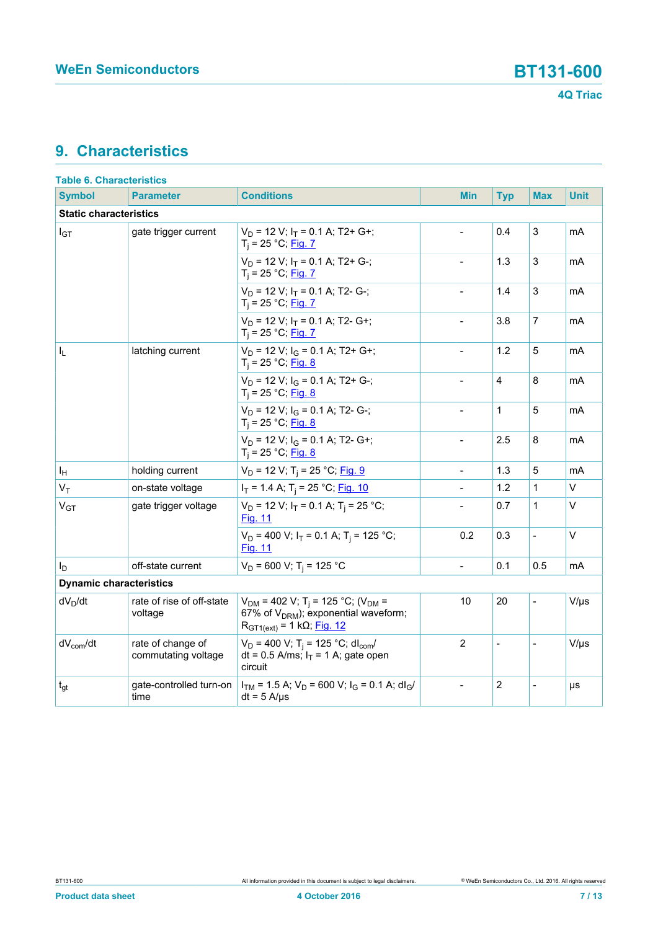## <span id="page-6-0"></span>**9. Characteristics**

| <b>Table 6. Characteristics</b> |                                          |                                                                                                                                                    |                          |                |                          |             |  |  |
|---------------------------------|------------------------------------------|----------------------------------------------------------------------------------------------------------------------------------------------------|--------------------------|----------------|--------------------------|-------------|--|--|
| <b>Symbol</b>                   | <b>Parameter</b>                         | <b>Conditions</b>                                                                                                                                  | <b>Min</b>               | <b>Typ</b>     | <b>Max</b>               | <b>Unit</b> |  |  |
| <b>Static characteristics</b>   |                                          |                                                                                                                                                    |                          |                |                          |             |  |  |
| $I_{GT}$                        | gate trigger current                     | $V_D$ = 12 V; $I_T$ = 0.1 A; T2+ G+;<br>$T_i = 25 °C;$ Fig. 7                                                                                      |                          | 0.4            | 3                        | mA          |  |  |
|                                 |                                          | $V_D$ = 12 V; $I_T$ = 0.1 A; T2+ G-;<br>T <sub>i</sub> = 25 °C; <u>Fig. 7</u>                                                                      | $\blacksquare$           | 1.3            | 3                        | mA          |  |  |
|                                 |                                          | $V_D$ = 12 V; $I_T$ = 0.1 A; T2- G-;<br>$T_i = 25 °C;$ Fig. 7                                                                                      | $\overline{\phantom{a}}$ | 1.4            | 3                        | mA          |  |  |
|                                 |                                          | $V_D$ = 12 V; $I_T$ = 0.1 A; T2- G+;<br>$T_i = 25 °C;$ Fig. 7                                                                                      |                          | 3.8            | $\overline{7}$           | mA          |  |  |
| I <sub>L</sub>                  | latching current                         | $V_D$ = 12 V; $I_G$ = 0.1 A; T2+ G+;<br>$T_i = 25 °C;$ Fig. 8                                                                                      |                          | 1.2            | 5                        | mA          |  |  |
|                                 |                                          | $V_D$ = 12 V; $I_G$ = 0.1 A; T2+ G-;<br>$T_i = 25 °C;$ Fig. 8                                                                                      |                          | 4              | 8                        | mA          |  |  |
|                                 |                                          | $V_D$ = 12 V; $I_G$ = 0.1 A; T2- G-;<br>$T_i = 25 °C;$ Fig. 8                                                                                      | $\overline{\phantom{0}}$ | 1              | 5                        | mA          |  |  |
|                                 |                                          | $V_D$ = 12 V; $I_G$ = 0.1 A; T2- G+;<br>$T_i = 25 °C;$ Fig. 8                                                                                      | $\blacksquare$           | 2.5            | 8                        | mA          |  |  |
| ΙH                              | holding current                          | $V_D$ = 12 V; T <sub>i</sub> = 25 °C; Fig. 9                                                                                                       |                          | 1.3            | 5                        | mA          |  |  |
| $V_T$                           | on-state voltage                         | $I_T$ = 1.4 A; T <sub>i</sub> = 25 °C; Fig. 10                                                                                                     | $\overline{a}$           | 1.2            | 1                        | V           |  |  |
| V <sub>GT</sub>                 | gate trigger voltage                     | $V_D$ = 12 V; $I_T$ = 0.1 A; T <sub>i</sub> = 25 °C;<br><b>Fig. 11</b>                                                                             |                          | 0.7            | 1                        | $\vee$      |  |  |
|                                 |                                          | $V_D$ = 400 V; $I_T$ = 0.1 A; T <sub>i</sub> = 125 °C;<br><b>Fig. 11</b>                                                                           | 0.2                      | 0.3            | $\overline{\phantom{0}}$ | $\vee$      |  |  |
| ΙD                              | off-state current                        | $V_D$ = 600 V; T <sub>i</sub> = 125 °C                                                                                                             | $\overline{\phantom{0}}$ | 0.1            | 0.5                      | mA          |  |  |
| <b>Dynamic characteristics</b>  |                                          |                                                                                                                                                    |                          |                |                          |             |  |  |
| $dV_D/dt$                       | rate of rise of off-state<br>voltage     | $V_{DM}$ = 402 V; T <sub>i</sub> = 125 °C; (V <sub>DM</sub> =<br>67% of $V_{DRM}$ ); exponential waveform;<br>$R_{GT1(ext)} = 1 k\Omega$ ; Fig. 12 | 10                       | 20             | $\overline{\phantom{0}}$ | $V/\mu s$   |  |  |
| $dV_{com}/dt$                   | rate of change of<br>commutating voltage | $V_D$ = 400 V; T <sub>i</sub> = 125 °C; dl <sub>com</sub> /<br>dt = 0.5 A/ms; $I_T$ = 1 A; gate open<br>circuit                                    | $\overline{c}$           | $\overline{a}$ |                          | $V/\mu s$   |  |  |
| $t_{gt}$                        | gate-controlled turn-on<br>time          | $I_{TM}$ = 1.5 A; $V_D$ = 600 V; $I_G$ = 0.1 A; dl <sub>G</sub> /<br>$dt = 5$ A/ $\mu$ s                                                           | $\overline{a}$           | $\overline{c}$ | $\overline{\phantom{0}}$ | μs          |  |  |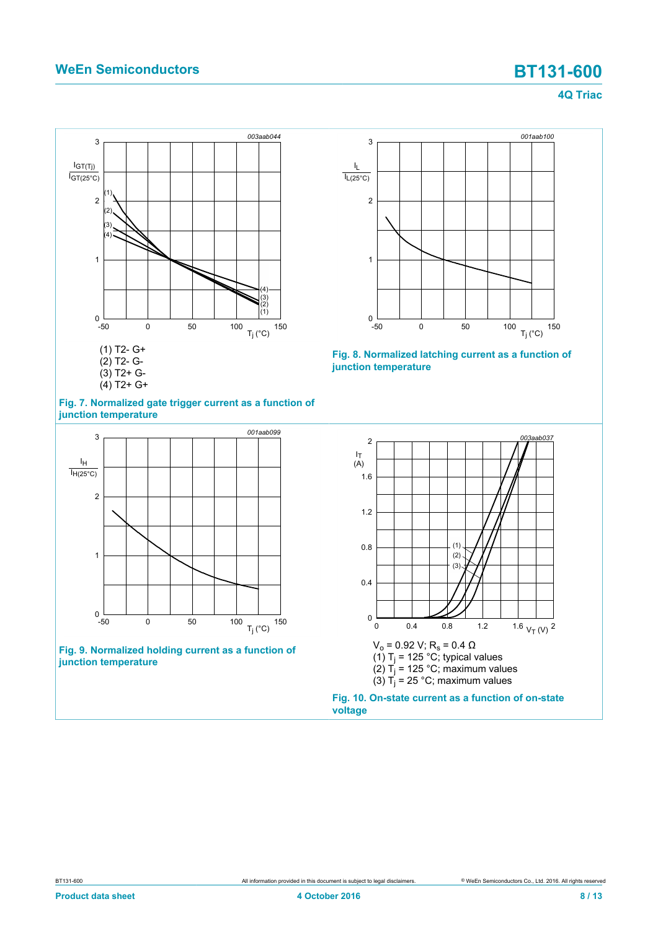### **4Q Triac**

<span id="page-7-0"></span>



<span id="page-7-1"></span>

**Fig. 9. Normalized holding current as a function of junction temperature**

<span id="page-7-3"></span>



<span id="page-7-2"></span>

**voltage**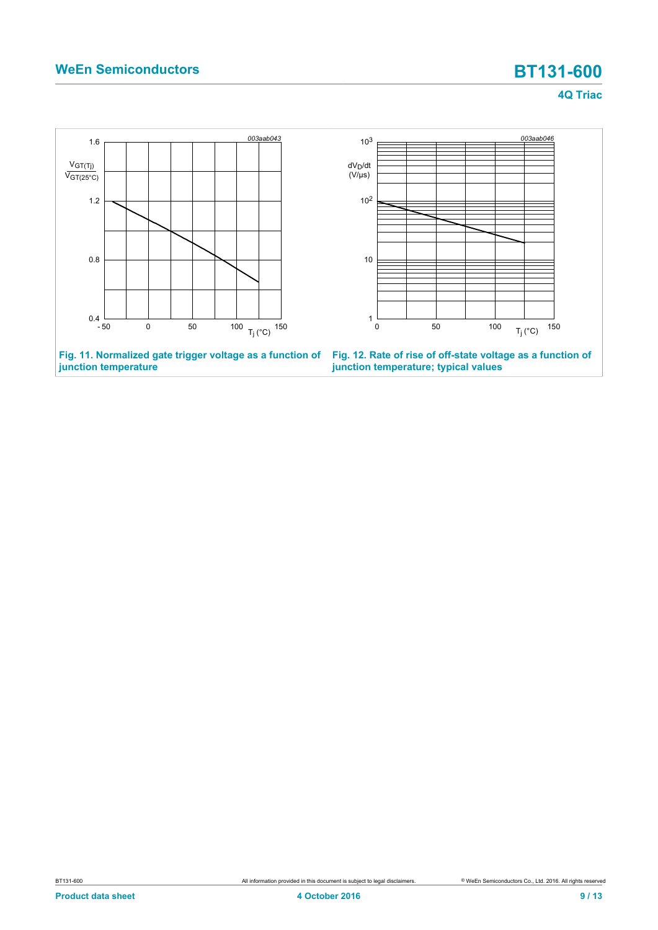**junction temperature**

**4Q Triac**

<span id="page-8-1"></span>

<span id="page-8-0"></span>**junction temperature; typical values**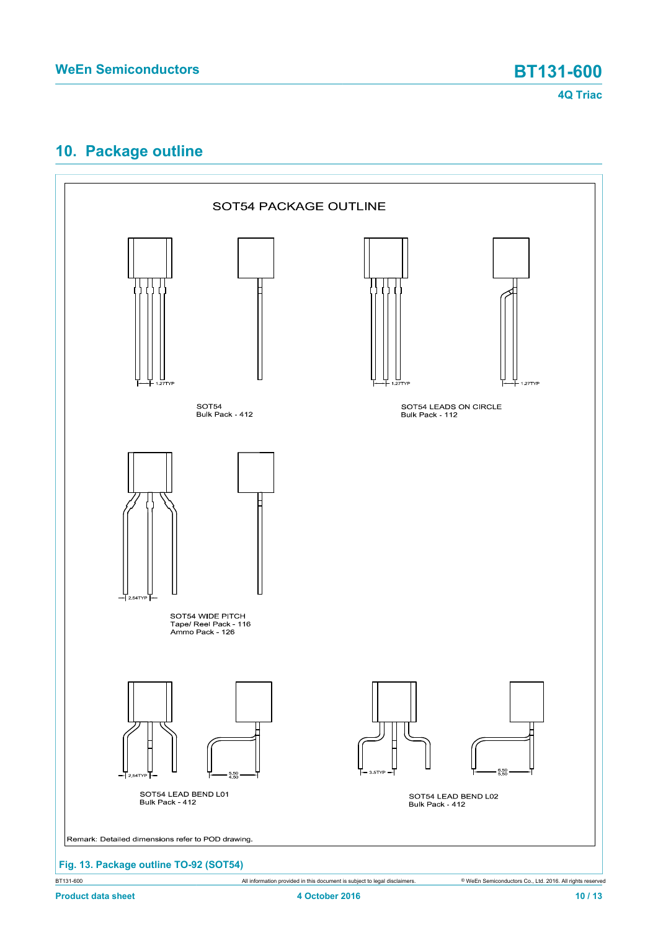# <span id="page-9-0"></span>**10. Package outline**



BT131-600 All information provided in this document is subject to legal disclaimers. © WeEn Semiconductors Co., Ltd. 2016. All rights reserved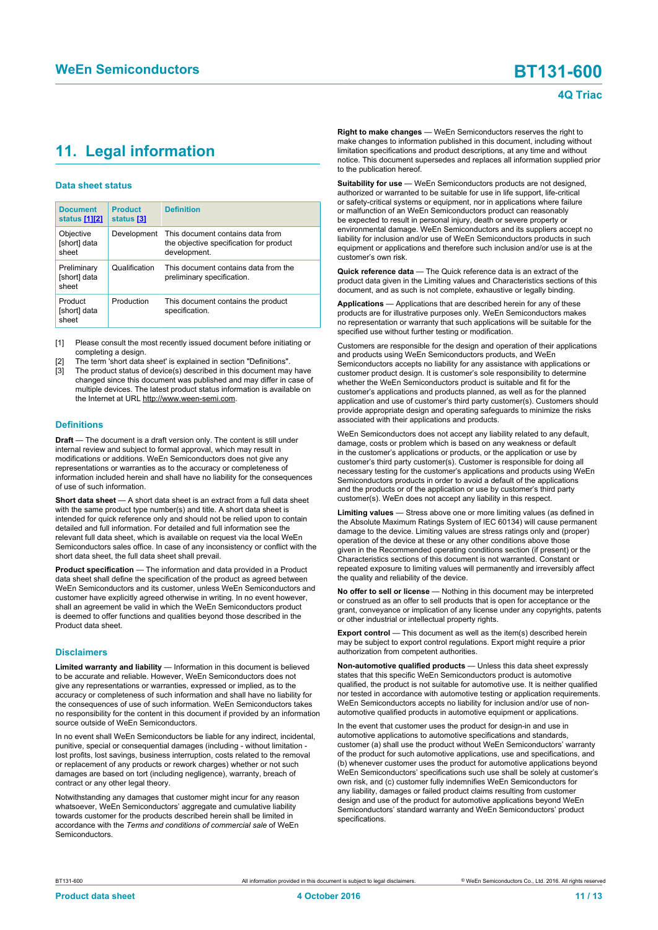# <span id="page-10-1"></span><span id="page-10-0"></span>**11. Legal information**

### **Data sheet status**

| <b>Document</b><br>status [1][2]     | <b>Product</b><br>status [3] | <b>Definition</b>                                                                           |
|--------------------------------------|------------------------------|---------------------------------------------------------------------------------------------|
| Objective<br>[short] data<br>sheet   | Development                  | This document contains data from<br>the objective specification for product<br>development. |
| Preliminary<br>[short] data<br>sheet | Qualification                | This document contains data from the<br>preliminary specification.                          |
| Product<br>[short] data<br>sheet     | Production                   | This document contains the product<br>specification.                                        |

[1] Please consult the most recently issued document before initiating or completing a design.

- The term 'short data sheet' is explained in section "Definitions".
- The product status of device(s) described in this document may have changed since this document was published and may differ in case of multiple devices. The latest product status information is available on the Internet at URL http://www.ween-semi.com.

### **Definitions**

**Draft** — The document is a draft version only. The content is still under internal review and subject to formal approval, which may result in modifications or additions. WeEn Semiconductors does not give any representations or warranties as to the accuracy or completeness of information included herein and shall have no liability for the consequences of use of such information.

**Short data sheet** — A short data sheet is an extract from a full data sheet with the same product type number(s) and title. A short data sheet is intended for quick reference only and should not be relied upon to contain detailed and full information. For detailed and full information see the relevant full data sheet, which is available on request via the local WeEn Semiconductors sales office. In case of any inconsistency or conflict with the short data sheet, the full data sheet shall prevail.

**Product specification** — The information and data provided in a Product data sheet shall define the specification of the product as agreed between WeEn Semiconductors and its customer, unless WeEn Semiconductors and customer have explicitly agreed otherwise in writing. In no event however, shall an agreement be valid in which the WeEn Semiconductors product is deemed to offer functions and qualities beyond those described in the Product data sheet.

### **Disclaimers**

**Limited warranty and liability** — Information in this document is believed to be accurate and reliable. However, WeEn Semiconductors does not give any representations or warranties, expressed or implied, as to the accuracy or completeness of such information and shall have no liability for the consequences of use of such information. WeEn Semiconductors takes no responsibility for the content in this document if provided by an information source outside of WeEn Semiconductors.

In no event shall WeEn Semiconductors be liable for any indirect, incidental, punitive, special or consequential damages (including - without limitation lost profits, lost savings, business interruption, costs related to the removal or replacement of any products or rework charges) whether or not such damages are based on tort (including negligence), warranty, breach of contract or any other legal theory.

Notwithstanding any damages that customer might incur for any reason whatsoever, WeEn Semiconductors' aggregate and cumulative liability towards customer for the products described herein shall be limited in accordance with the *Terms and conditions of commercial sale* of WeEn **Semiconductors** 

**Right to make changes** — WeEn Semiconductors reserves the right to make changes to information published in this document, including without limitation specifications and product descriptions, at any time and without notice. This document supersedes and replaces all information supplied prior to the publication hereof.

**Suitability for use** — WeEn Semiconductors products are not designed, authorized or warranted to be suitable for use in life support, life-critical or safety-critical systems or equipment, nor in applications where failure or malfunction of an WeEn Semiconductors product can reasonably be expected to result in personal injury, death or severe property or environmental damage. WeEn Semiconductors and its suppliers accept no liability for inclusion and/or use of WeEn Semiconductors products in such equipment or applications and therefore such inclusion and/or use is at the customer's own risk.

**Quick reference data** — The Quick reference data is an extract of the product data given in the Limiting values and Characteristics sections of this document, and as such is not complete, exhaustive or legally binding.

**Applications** — Applications that are described herein for any of these products are for illustrative purposes only. WeEn Semiconductors makes no representation or warranty that such applications will be suitable for the specified use without further testing or modification.

Customers are responsible for the design and operation of their applications and products using WeEn Semiconductors products, and WeEn Semiconductors accepts no liability for any assistance with applications or customer product design. It is customer's sole responsibility to determine whether the WeEn Semiconductors product is suitable and fit for the customer's applications and products planned, as well as for the planned application and use of customer's third party customer(s). Customers should provide appropriate design and operating safeguards to minimize the risks associated with their applications and products.

WeEn Semiconductors does not accept any liability related to any default, damage, costs or problem which is based on any weakness or default in the customer's applications or products, or the application or use by customer's third party customer(s). Customer is responsible for doing all necessary testing for the customer's applications and products using WeEn Semiconductors products in order to avoid a default of the applications and the products or of the application or use by customer's third party customer(s). WeEn does not accept any liability in this respect.

**Limiting values** — Stress above one or more limiting values (as defined in the Absolute Maximum Ratings System of IEC 60134) will cause permanent damage to the device. Limiting values are stress ratings only and (proper) operation of the device at these or any other conditions above those given in the Recommended operating conditions section (if present) or the Characteristics sections of this document is not warranted. Constant or repeated exposure to limiting values will permanently and irreversibly affect the quality and reliability of the device.

**No offer to sell or license** — Nothing in this document may be interpreted or construed as an offer to sell products that is open for acceptance or the grant, conveyance or implication of any license under any copyrights, patents or other industrial or intellectual property rights.

**Export control** — This document as well as the item(s) described herein may be subject to export control regulations. Export might require a prior authorization from competent authorities.

**Non-automotive qualified products** — Unless this data sheet expressly states that this specific WeEn Semiconductors product is automotive qualified, the product is not suitable for automotive use. It is neither qualified nor tested in accordance with automotive testing or application requirements. WeEn Semiconductors accepts no liability for inclusion and/or use of nonautomotive qualified products in automotive equipment or applications.

In the event that customer uses the product for design-in and use in automotive applications to automotive specifications and standards, customer (a) shall use the product without WeEn Semiconductors' warranty of the product for such automotive applications, use and specifications, and (b) whenever customer uses the product for automotive applications beyond WeEn Semiconductors' specifications such use shall be solely at customer's own risk, and (c) customer fully indemnifies WeEn Semiconductors for any liability, damages or failed product claims resulting from customer design and use of the product for automotive applications beyond WeEn Semiconductors' standard warranty and WeEn Semiconductors' product specifications.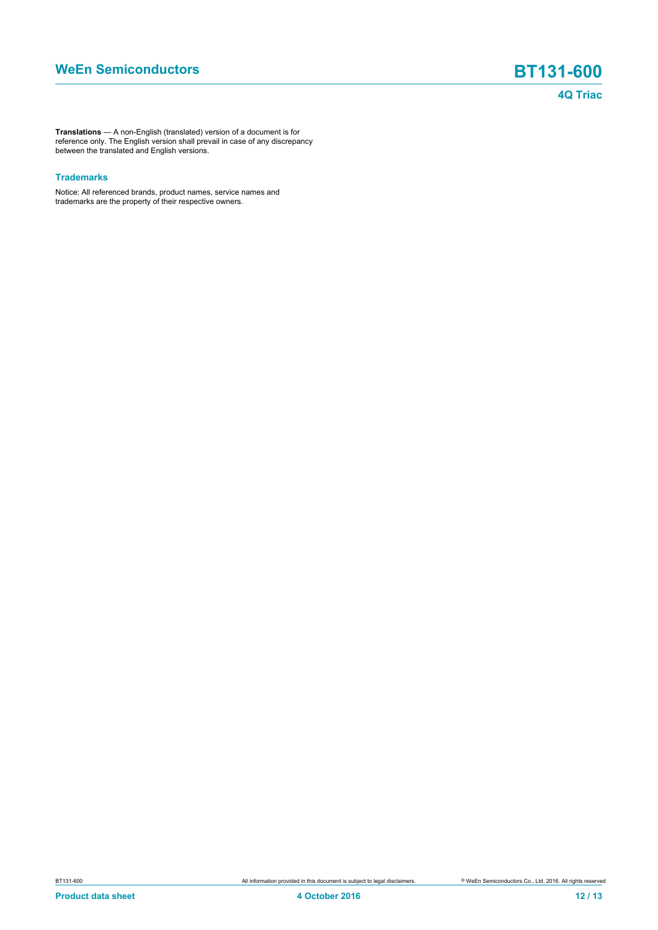**Translations** — A non-English (translated) version of a document is for reference only. The English version shall prevail in case of any discrepancy between the translated and English versions.

### **Trademarks**

Notice: All referenced brands, product names, service names and trademarks are the property of their respective owners.